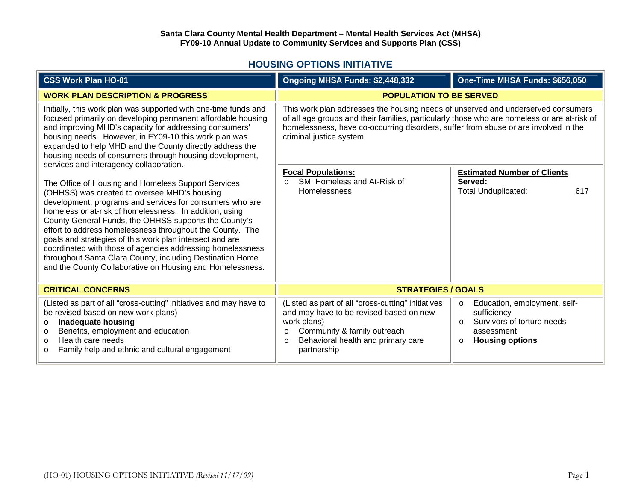## **HOUSING OPTIONS INITIATIVE**

| <b>CSS Work Plan HO-01</b>                                                                                                                                                                                                                                                                                                                                                                                                                                                                                                                                                                           | Ongoing MHSA Funds: \$2,448,332                                                                                                                                                                                                                                                                    | One-Time MHSA Funds: \$656,050                                                                                                                      |
|------------------------------------------------------------------------------------------------------------------------------------------------------------------------------------------------------------------------------------------------------------------------------------------------------------------------------------------------------------------------------------------------------------------------------------------------------------------------------------------------------------------------------------------------------------------------------------------------------|----------------------------------------------------------------------------------------------------------------------------------------------------------------------------------------------------------------------------------------------------------------------------------------------------|-----------------------------------------------------------------------------------------------------------------------------------------------------|
| <b>WORK PLAN DESCRIPTION &amp; PROGRESS</b>                                                                                                                                                                                                                                                                                                                                                                                                                                                                                                                                                          | <b>POPULATION TO BE SERVED</b>                                                                                                                                                                                                                                                                     |                                                                                                                                                     |
| Initially, this work plan was supported with one-time funds and<br>focused primarily on developing permanent affordable housing<br>and improving MHD's capacity for addressing consumers'<br>housing needs. However, in FY09-10 this work plan was<br>expanded to help MHD and the County directly address the<br>housing needs of consumers through housing development,<br>services and interagency collaboration.                                                                                                                                                                                 | This work plan addresses the housing needs of unserved and underserved consumers<br>of all age groups and their families, particularly those who are homeless or are at-risk of<br>homelessness, have co-occurring disorders, suffer from abuse or are involved in the<br>criminal justice system. |                                                                                                                                                     |
| The Office of Housing and Homeless Support Services<br>(OHHSS) was created to oversee MHD's housing<br>development, programs and services for consumers who are<br>homeless or at-risk of homelessness. In addition, using<br>County General Funds, the OHHSS supports the County's<br>effort to address homelessness throughout the County. The<br>goals and strategies of this work plan intersect and are<br>coordinated with those of agencies addressing homelessness<br>throughout Santa Clara County, including Destination Home<br>and the County Collaborative on Housing and Homelessness. | <b>Focal Populations:</b><br>SMI Homeless and At-Risk of<br>$\Omega$<br>Homelessness                                                                                                                                                                                                               | <b>Estimated Number of Clients</b><br>Served:<br><b>Total Unduplicated:</b><br>617                                                                  |
| <b>CRITICAL CONCERNS</b>                                                                                                                                                                                                                                                                                                                                                                                                                                                                                                                                                                             | <b>STRATEGIES / GOALS</b>                                                                                                                                                                                                                                                                          |                                                                                                                                                     |
| (Listed as part of all "cross-cutting" initiatives and may have to<br>be revised based on new work plans)<br><b>Inadequate housing</b><br>$\circ$<br>Benefits, employment and education<br>$\circ$<br>Health care needs<br>$\circ$<br>Family help and ethnic and cultural engagement<br>$\circ$                                                                                                                                                                                                                                                                                                      | (Listed as part of all "cross-cutting" initiatives<br>and may have to be revised based on new<br>work plans)<br>Community & family outreach<br>$\circ$<br>Behavioral health and primary care<br>$\circ$<br>partnership                                                                             | Education, employment, self-<br>$\circ$<br>sufficiency<br>Survivors of torture needs<br>$\Omega$<br>assessment<br><b>Housing options</b><br>$\circ$ |